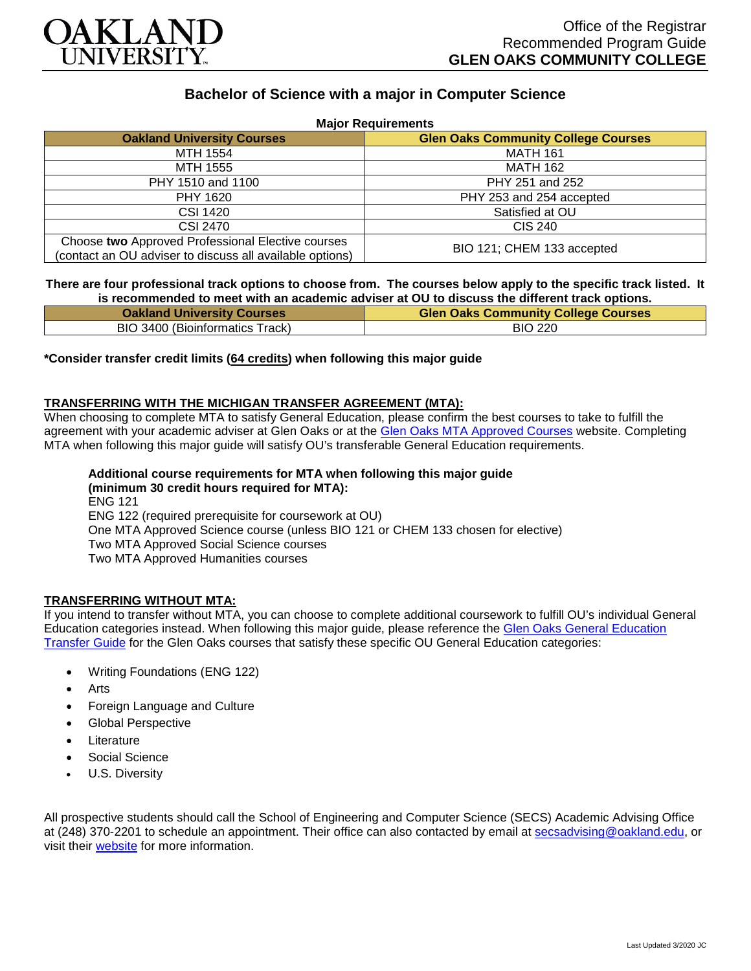

# **Bachelor of Science with a major in Computer Science**

| <b>Major Requirements</b>                                                                                     |                                            |
|---------------------------------------------------------------------------------------------------------------|--------------------------------------------|
| <b>Oakland University Courses</b>                                                                             | <b>Glen Oaks Community College Courses</b> |
| MTH 1554                                                                                                      | <b>MATH 161</b>                            |
| MTH 1555                                                                                                      | <b>MATH 162</b>                            |
| PHY 1510 and 1100                                                                                             | PHY 251 and 252                            |
| PHY 1620                                                                                                      | PHY 253 and 254 accepted                   |
| CSI 1420                                                                                                      | Satisfied at OU                            |
| CSI 2470                                                                                                      | CIS 240                                    |
| Choose two Approved Professional Elective courses<br>(contact an OU adviser to discuss all available options) | BIO 121; CHEM 133 accepted                 |

# **There are four professional track options to choose from. The courses below apply to the specific track listed. It is recommended to meet with an academic adviser at OU to discuss the different track options.**

| <b>Oakland University Courses</b> | <b>Glen Oaks Community College Courses</b> |
|-----------------------------------|--------------------------------------------|
| BIO 3400 (Bioinformatics Track)   | <b>BIO 220</b>                             |

# **\*Consider transfer credit limits (64 credits) when following this major guide**

# **TRANSFERRING WITH THE MICHIGAN TRANSFER AGREEMENT (MTA):**

When choosing to complete MTA to satisfy General Education, please confirm the best courses to take to fulfill the agreement with your academic adviser at Glen Oaks or at the [Glen Oaks MTA Approved Courses](https://www.glenoaks.edu/current-students/registration-records/#MTA) website. Completing MTA when following this major guide will satisfy OU's transferable General Education requirements.

#### **Additional course requirements for MTA when following this major guide (minimum 30 credit hours required for MTA):** ENG 121

ENG 122 (required prerequisite for coursework at OU) One MTA Approved Science course (unless BIO 121 or CHEM 133 chosen for elective) Two MTA Approved Social Science courses Two MTA Approved Humanities courses

# **TRANSFERRING WITHOUT MTA:**

If you intend to transfer without MTA, you can choose to complete additional coursework to fulfill OU's individual General Education categories instead. When following this major guide, please reference the [Glen Oaks General Education](https://www.oakland.edu/Assets/Oakland/program-guides/glen-oaks-community-college/university-general-education-requirements/Glen%20Oaks%20Gen%20Ed.pdf)  [Transfer Guide](https://www.oakland.edu/Assets/Oakland/program-guides/glen-oaks-community-college/university-general-education-requirements/Glen%20Oaks%20Gen%20Ed.pdf) for the Glen Oaks courses that satisfy these specific OU General Education categories:

- Writing Foundations (ENG 122)
- **Arts**
- Foreign Language and Culture
- Global Perspective
- **Literature**
- Social Science
- U.S. Diversity

All prospective students should call the School of Engineering and Computer Science (SECS) Academic Advising Office at (248) 370-2201 to schedule an appointment. Their office can also contacted by email at [secsadvising@oakland.edu,](mailto:secsadvising@oakland.edu) or visit their [website](https://wwwp.oakland.edu/secs/advising/) for more information.